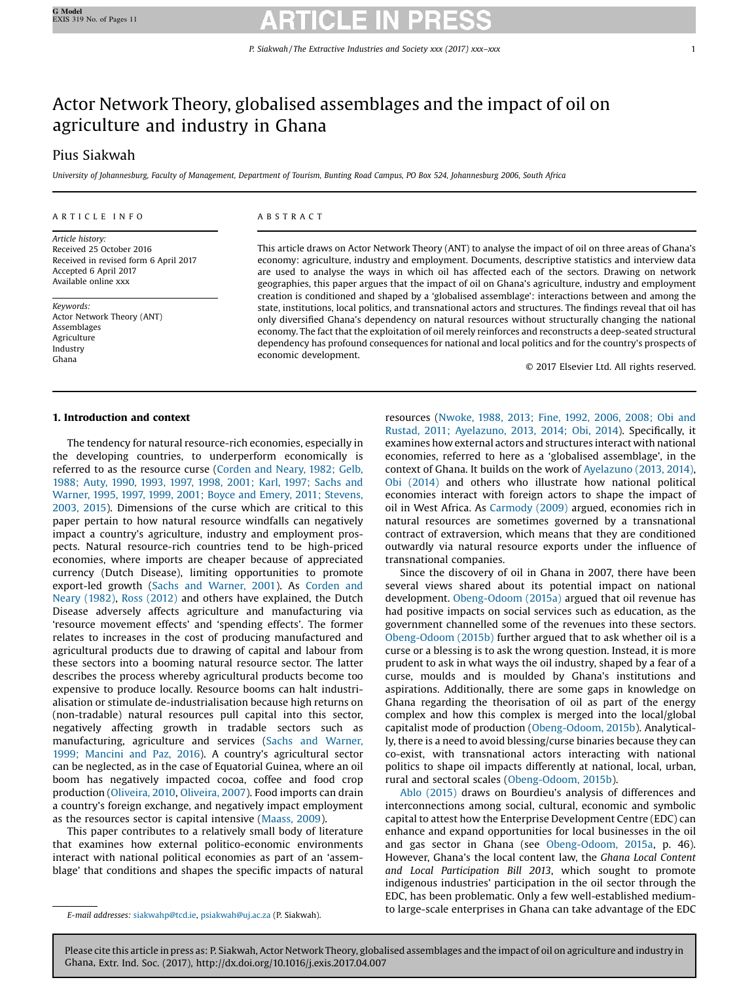## Actor Network Theory, globalised assemblages and the impact of oil on agriculture and industry in Ghana

### Pius Siakwah

University of Johannesburg, Faculty of Management, Department of Tourism, Bunting Road Campus, PO Box 524, Johannesburg 2006, South Africa

### A R T I C L E I N F O

Article history: Received 25 October 2016 Received in revised form 6 April 2017 Accepted 6 April 2017 Available online xxx

Keywords: Actor Network Theory (ANT) Assemblages Agriculture Industry Ghana

### A B S T R A C T

This article draws on Actor Network Theory (ANT) to analyse the impact of oil on three areas of Ghana's economy: agriculture, industry and employment. Documents, descriptive statistics and interview data are used to analyse the ways in which oil has affected each of the sectors. Drawing on network geographies, this paper argues that the impact of oil on Ghana's agriculture, industry and employment creation is conditioned and shaped by a 'globalised assemblage': interactions between and among the state, institutions, local politics, and transnational actors and structures. The findings reveal that oil has only diversified Ghana's dependency on natural resources without structurally changing the national economy. The fact that the exploitation of oil merely reinforces and reconstructs a deep-seated structural dependency has profound consequences for national and local politics and for the country's prospects of economic development.

© 2017 Elsevier Ltd. All rights reserved.

### 1. Introduction and context

The tendency for natural resource-rich economies, especially in the developing countries, to underperform economically is referred to as the resource curse ([Corden](#page--1-0) and Neary, 1982; Gelb, 1988; Auty, 1990, 1993, 1997, 1998, [2001;](#page--1-0) Karl, 1997; Sachs and Warner, 1995, 1997, 1999, 2001; Boyce and Emery, 2011; [Stevens,](#page--1-0) [2003,](#page--1-0) 2015). Dimensions of the curse which are critical to this paper pertain to how natural resource windfalls can negatively impact a country's agriculture, industry and employment prospects. Natural resource-rich countries tend to be high-priced economies, where imports are cheaper because of appreciated currency (Dutch Disease), limiting opportunities to promote export-led growth (Sachs and [Warner,](#page--1-0) 2001). As [Corden](#page--1-0) and Neary [\(1982\)](#page--1-0), Ross [\(2012\)](#page--1-0) and others have explained, the Dutch Disease adversely affects agriculture and manufacturing via 'resource movement effects' and 'spending effects'. The former relates to increases in the cost of producing manufactured and agricultural products due to drawing of capital and labour from these sectors into a booming natural resource sector. The latter describes the process whereby agricultural products become too expensive to produce locally. Resource booms can halt industrialisation or stimulate de-industrialisation because high returns on (non-tradable) natural resources pull capital into this sector, negatively affecting growth in tradable sectors such as manufacturing, agriculture and services (Sachs and [Warner,](#page--1-0) 1999; [Mancini](#page--1-0) and Paz, 2016). A country's agricultural sector can be neglected, as in the case of Equatorial Guinea, where an oil boom has negatively impacted cocoa, coffee and food crop production ([Oliveira,](#page--1-0) 2010, [Oliveira,](#page--1-0) 2007). Food imports can drain a country's foreign exchange, and negatively impact employment as the resources sector is capital intensive [\(Maass,](#page--1-0) 2009).

This paper contributes to a relatively small body of literature that examines how external politico-economic environments interact with national political economies as part of an 'assemblage' that conditions and shapes the specific impacts of natural resources ([Nwoke,](#page--1-0) 1988, 2013; Fine, 1992, 2006, 2008; Obi and Rustad, 2011; [Ayelazuno,](#page--1-0) 2013, 2014; Obi, 2014). Specifically, it examines how external actors and structures interact with national economies, referred to here as a 'globalised assemblage', in the context of Ghana. It builds on the work of [Ayelazuno](#page--1-0) (2013, 2014), Obi [\(2014\)](#page--1-0) and others who illustrate how national political economies interact with foreign actors to shape the impact of oil in West Africa. As [Carmody](#page--1-0) (2009) argued, economies rich in natural resources are sometimes governed by a transnational contract of extraversion, which means that they are conditioned outwardly via natural resource exports under the influence of transnational companies.

Since the discovery of oil in Ghana in 2007, there have been several views shared about its potential impact on national development. [Obeng-Odoom](#page--1-0) (2015a) argued that oil revenue has had positive impacts on social services such as education, as the government channelled some of the revenues into these sectors. [Obeng-Odoom](#page--1-0) (2015b) further argued that to ask whether oil is a curse or a blessing is to ask the wrong question. Instead, it is more prudent to ask in what ways the oil industry, shaped by a fear of a curse, moulds and is moulded by Ghana's institutions and aspirations. Additionally, there are some gaps in knowledge on Ghana regarding the theorisation of oil as part of the energy complex and how this complex is merged into the local/global capitalist mode of production [\(Obeng-Odoom,](#page--1-0) 2015b). Analytically, there is a need to avoid blessing/curse binaries because they can co-exist, with transnational actors interacting with national politics to shape oil impacts differently at national, local, urban, rural and sectoral scales ([Obeng-Odoom,](#page--1-0) 2015b).

Ablo [\(2015\)](#page--1-0) draws on Bourdieu's analysis of differences and interconnections among social, cultural, economic and symbolic capital to attest how the Enterprise Development Centre (EDC) can enhance and expand opportunities for local businesses in the oil and gas sector in Ghana (see [Obeng-Odoom,](#page--1-0) 2015a, p. 46). However, Ghana's the local content law, the Ghana Local Content and Local Participation Bill 2013, which sought to promote indigenous industries' participation in the oil sector through the EDC, has been problematic. Only a few well-established mediumto large-scale enterprises in Ghana can take advantage of the EDC E-mail addresses: [siakwahp@tcd.ie,](undefined) [psiakwah@uj.ac.za](undefined) (P. Siakwah).

Please cite this article in press as: P. Siakwah, Actor Network Theory, globalised assemblages and the impact of oil on agriculture and industry in Ghana, Extr. Ind. Soc. (2017), http://dx.doi.org/10.1016/j.exis.2017.04.007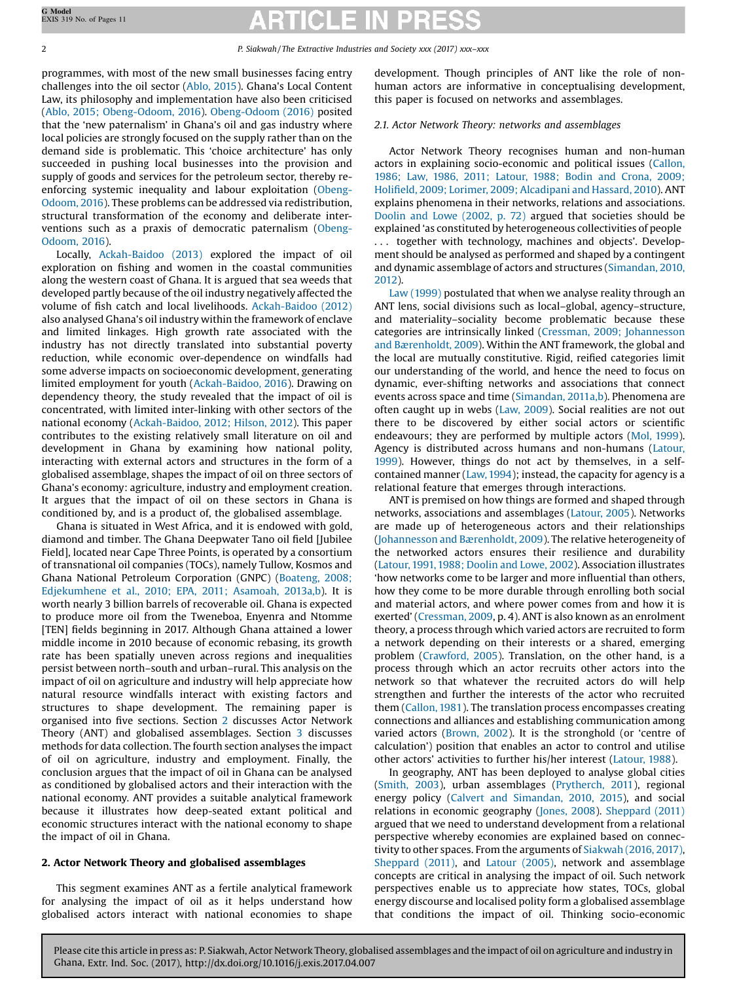### 2 P. Siakwah / The Extractive Industries and Society xxx (2017) xxx–xxx

programmes, with most of the new small businesses facing entry challenges into the oil sector ([Ablo,](#page--1-0) 2015). Ghana's Local Content Law, its philosophy and implementation have also been criticised (Ablo, 2015; [Obeng-Odoom,](#page--1-0) 2016). [Obeng-Odoom](#page--1-0) (2016) posited that the 'new paternalism' in Ghana's oil and gas industry where local policies are strongly focused on the supply rather than on the demand side is problematic. This 'choice architecture' has only succeeded in pushing local businesses into the provision and supply of goods and services for the petroleum sector, thereby reenforcing systemic inequality and labour exploitation ([Obeng-](#page--1-0)[Odoom,](#page--1-0) 2016). These problems can be addressed via redistribution, structural transformation of the economy and deliberate interventions such as a praxis of democratic paternalism ([Obeng-](#page--1-0)[Odoom,](#page--1-0) 2016).

Locally, [Ackah-Baidoo](#page--1-0) (2013) explored the impact of oil exploration on fishing and women in the coastal communities along the western coast of Ghana. It is argued that sea weeds that developed partly because of the oil industry negatively affected the volume of fish catch and local livelihoods. [Ackah-Baidoo](#page--1-0) (2012) also analysed Ghana's oil industry within the framework of enclave and limited linkages. High growth rate associated with the industry has not directly translated into substantial poverty reduction, while economic over-dependence on windfalls had some adverse impacts on socioeconomic development, generating limited employment for youth ([Ackah-Baidoo,](#page--1-0) 2016). Drawing on dependency theory, the study revealed that the impact of oil is concentrated, with limited inter-linking with other sectors of the national economy ([Ackah-Baidoo,](#page--1-0) 2012; Hilson, 2012). This paper contributes to the existing relatively small literature on oil and development in Ghana by examining how national polity, interacting with external actors and structures in the form of a globalised assemblage, shapes the impact of oil on three sectors of Ghana's economy: agriculture, industry and employment creation. It argues that the impact of oil on these sectors in Ghana is conditioned by, and is a product of, the globalised assemblage.

Ghana is situated in West Africa, and it is endowed with gold, diamond and timber. The Ghana Deepwater Tano oil field [Jubilee Field], located near Cape Three Points, is operated by a consortium of transnational oil companies (TOCs), namely Tullow, Kosmos and Ghana National Petroleum Corporation (GNPC) ([Boateng,](#page--1-0) 2008; [Edjekumhene](#page--1-0) et al., 2010; EPA, 2011; Asamoah, 2013a,b). It is worth nearly 3 billion barrels of recoverable oil. Ghana is expected to produce more oil from the Tweneboa, Enyenra and Ntomme [TEN] fields beginning in 2017. Although Ghana attained a lower middle income in 2010 because of economic rebasing, its growth rate has been spatially uneven across regions and inequalities persist between north–south and urban–rural. This analysis on the impact of oil on agriculture and industry will help appreciate how natural resource windfalls interact with existing factors and structures to shape development. The remaining paper is organised into five sections. Section 2 discusses Actor Network Theory (ANT) and globalised assemblages. Section [3](#page--1-0) discusses methods for data collection. The fourth section analyses the impact of oil on agriculture, industry and employment. Finally, the conclusion argues that the impact of oil in Ghana can be analysed as conditioned by globalised actors and their interaction with the national economy. ANT provides a suitable analytical framework because it illustrates how deep-seated extant political and economic structures interact with the national economy to shape the impact of oil in Ghana.

### 2. Actor Network Theory and globalised assemblages

This segment examines ANT as a fertile analytical framework for analysing the impact of oil as it helps understand how globalised actors interact with national economies to shape development. Though principles of ANT like the role of nonhuman actors are informative in conceptualising development, this paper is focused on networks and assemblages.

### 2.1. Actor Network Theory: networks and assemblages

Actor Network Theory recognises human and non-human actors in explaining socio-economic and political issues ([Callon,](#page--1-0) 1986; Law, 1986, 2011; [Latour,](#page--1-0) 1988; Bodin and Crona, 2009; Holifield, 2009; Lorimer, 2009; [Alcadipani](#page--1-0) and Hassard, 2010). ANT explains phenomena in their networks, relations and associations. [Doolin](#page--1-0) and Lowe (2002, p. 72) argued that societies should be explained 'as constituted by heterogeneous collectivities of people . . . together with technology, machines and objects'. Development should be analysed as performed and shaped by a contingent and dynamic assemblage of actors and structures ([Simandan,](#page--1-0) 2010, [2012](#page--1-0)).

Law [\(1999\)](#page--1-0) postulated that when we analyse reality through an ANT lens, social divisions such as local–global, agency–structure, and materiality–sociality become problematic because these categories are intrinsically linked (Cressman, 2009; [Johannesson](#page--1-0) and [Bærenholdt,](#page--1-0) 2009). Within the ANT framework, the global and the local are mutually constitutive. Rigid, reified categories limit our understanding of the world, and hence the need to focus on dynamic, ever-shifting networks and associations that connect events across space and time ([Simandan,](#page--1-0) 2011a,b). Phenomena are often caught up in webs (Law, [2009](#page--1-0)). Social realities are not out there to be discovered by either social actors or scientific endeavours; they are performed by multiple actors (Mol, [1999\)](#page--1-0). Agency is distributed across humans and non-humans ([Latour,](#page--1-0) [1999](#page--1-0)). However, things do not act by themselves, in a selfcontained manner ([Law,1994\)](#page--1-0); instead, the capacity for agency is a relational feature that emerges through interactions.

ANT is premised on how things are formed and shaped through networks, associations and assemblages [\(Latour,](#page--1-0) 2005). Networks are made up of heterogeneous actors and their relationships ([Johannesson](#page--1-0) and Bærenholdt, 2009). The relative heterogeneity of the networked actors ensures their resilience and durability ([Latour,1991,1988;](#page--1-0) Doolin and Lowe, 2002). Association illustrates 'how networks come to be larger and more influential than others, how they come to be more durable through enrolling both social and material actors, and where power comes from and how it is exerted' [\(Cressman,](#page--1-0) 2009, p. 4). ANT is also known as an enrolment theory, a process through which varied actors are recruited to form a network depending on their interests or a shared, emerging problem ([Crawford,](#page--1-0) 2005). Translation, on the other hand, is a process through which an actor recruits other actors into the network so that whatever the recruited actors do will help strengthen and further the interests of the actor who recruited them ([Callon,](#page--1-0) 1981). The translation process encompasses creating connections and alliances and establishing communication among varied actors [\(Brown,](#page--1-0) 2002). It is the stronghold (or 'centre of calculation') position that enables an actor to control and utilise other actors' activities to further his/her interest ([Latour,](#page--1-0) 1988).

In geography, ANT has been deployed to analyse global cities ([Smith,](#page--1-0) 2003), urban assemblages [\(Prytherch,](#page--1-0) 2011), regional energy policy (Calvert and [Simandan,](#page--1-0) 2010, 2015), and social relations in economic geography [\(Jones,](#page--1-0) 2008). [Sheppard](#page--1-0) (2011) argued that we need to understand development from a relational perspective whereby economies are explained based on connectivity to other spaces. From the arguments of [Siakwah](#page--1-0) (2016, 2017), [Sheppard](#page--1-0) (2011), and Latour [\(2005\),](#page--1-0) network and assemblage concepts are critical in analysing the impact of oil. Such network perspectives enable us to appreciate how states, TOCs, global energy discourse and localised polity form a globalised assemblage that conditions the impact of oil. Thinking socio-economic

Please cite this article in press as: P. Siakwah, Actor Network Theory, globalised assemblages and the impact of oil on agriculture and industry in Ghana, Extr. Ind. Soc. (2017), http://dx.doi.org/10.1016/j.exis.2017.04.007